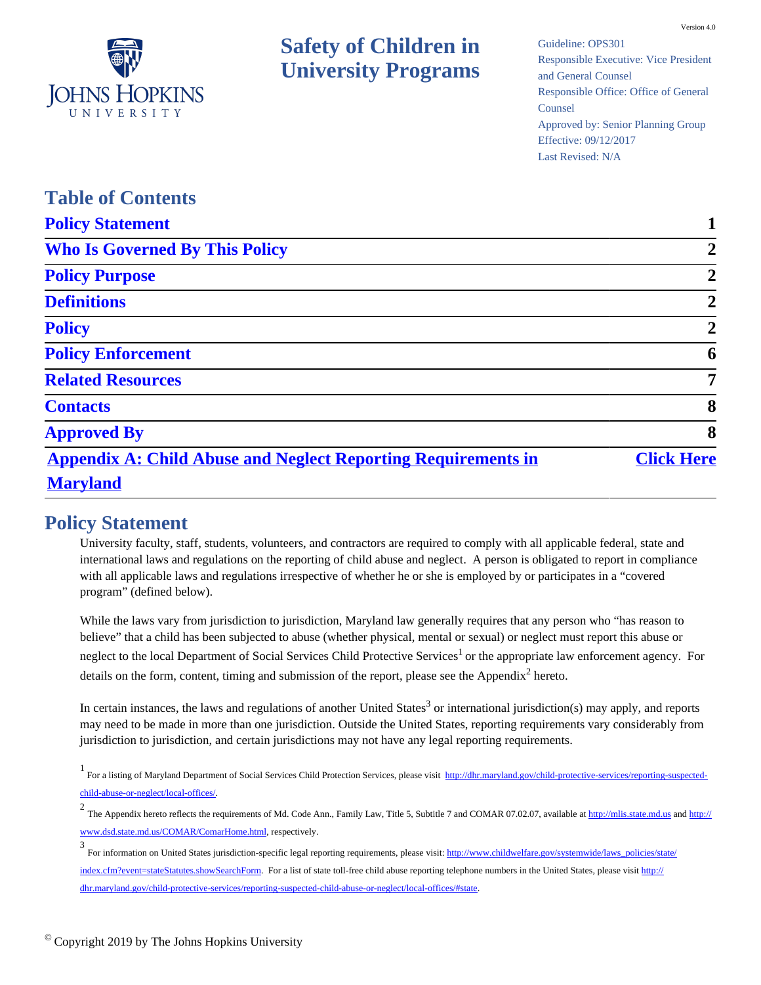

Guideline: OPS301 Responsible Executive: Vice President and General Counsel Responsible Office: Office of General Counsel Approved by: Senior Planning Group Effective: 09/12/2017 Last Revised: N/A

| <b>Table of Contents</b>                                             |                   |
|----------------------------------------------------------------------|-------------------|
| <b>Policy Statement</b>                                              |                   |
| <b>Who Is Governed By This Policy</b>                                | $\overline{2}$    |
| <b>Policy Purpose</b>                                                | $\overline{2}$    |
| <b>Definitions</b>                                                   | $\overline{2}$    |
| <b>Policy</b>                                                        | $\overline{2}$    |
| <b>Policy Enforcement</b>                                            | 6                 |
| <b>Related Resources</b>                                             | $\overline{7}$    |
| <b>Contacts</b>                                                      | 8                 |
| <b>Approved By</b>                                                   | 8                 |
| <b>Appendix A: Child Abuse and Neglect Reporting Requirements in</b> | <b>Click Here</b> |
| <b>Maryland</b>                                                      |                   |

### <span id="page-0-0"></span>**Policy Statement**

University faculty, staff, students, volunteers, and contractors are required to comply with all applicable federal, state and international laws and regulations on the reporting of child abuse and neglect. A person is obligated to report in compliance with all applicable laws and regulations irrespective of whether he or she is employed by or participates in a "covered program" (defined below).

While the laws vary from jurisdiction to jurisdiction, Maryland law generally requires that any person who "has reason to believe" that a child has been subjected to abuse (whether physical, mental or sexual) or neglect must report this abuse or neglect to the local Department of Social Services Child Protective Services<sup>1</sup> or the appropriate law enforcement agency. For details on the form, content, timing and submission of the report, please see the Appendix<sup>2</sup> hereto.

In certain instances, the laws and regulations of another United States<sup>3</sup> or international jurisdiction(s) may apply, and reports may need to be made in more than one jurisdiction. Outside the United States, reporting requirements vary considerably from jurisdiction to jurisdiction, and certain jurisdictions may not have any legal reporting requirements.

1<br>For a listing of Maryland Department of Social Services Child Protection Services, please visit [http://dhr.maryland.gov/child-protective-services/reporting-suspected](http://dhr.maryland.gov/child-protective-services/reporting-suspected-child-abuse-or-neglect/local-offices/)[child-abuse-or-neglect/local-offices/](http://dhr.maryland.gov/child-protective-services/reporting-suspected-child-abuse-or-neglect/local-offices/).

2 The Appendix hereto reflects the requirements of Md. Code Ann., Family Law, Title 5, Subtitle 7 and COMAR 07.02.07, available at [http://mlis.state.md.us](http://mlis.state.md.us/) and [http://](http://www.dsd.state.md.us/COMAR/ComarHome.html) [www.dsd.state.md.us/COMAR/ComarHome.html,](http://www.dsd.state.md.us/COMAR/ComarHome.html) respectively.

<sup>3</sup> For information on United States jurisdiction-specific legal reporting requirements, please visit: [http://www.childwelfare.gov/systemwide/laws\\_policies/state/](http://www.childwelfare.gov/systemwide/laws_policies/state/index.cfm?event=stateStatutes.showSearchForm) [index.cfm?event=stateStatutes.showSearchForm](http://www.childwelfare.gov/systemwide/laws_policies/state/index.cfm?event=stateStatutes.showSearchForm). For a list of state toll-free child abuse reporting telephone numbers in the United States, please visit [http://](http://dhr.maryland.gov/child-protective-services/reporting-suspected-child-abuse-or-neglect/local-offices/#state) [dhr.maryland.gov/child-protective-services/reporting-suspected-child-abuse-or-neglect/local-offices/#state](http://dhr.maryland.gov/child-protective-services/reporting-suspected-child-abuse-or-neglect/local-offices/#state).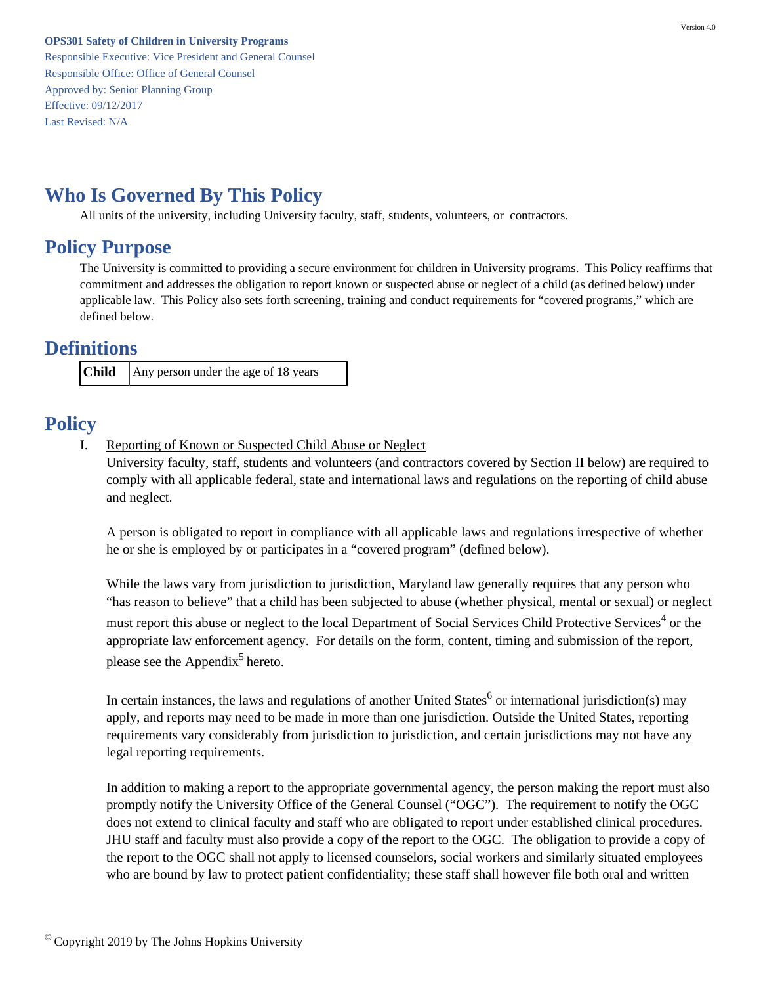Responsible Executive: Vice President and General Counsel Responsible Office: Office of General Counsel Approved by: Senior Planning Group Effective: 09/12/2017 Last Revised: N/A

## <span id="page-1-0"></span>**Who Is Governed By This Policy**

All units of the university, including University faculty, staff, students, volunteers, or contractors.

### <span id="page-1-1"></span>**Policy Purpose**

The University is committed to providing a secure environment for children in University programs. This Policy reaffirms that commitment and addresses the obligation to report known or suspected abuse or neglect of a child (as defined below) under applicable law. This Policy also sets forth screening, training and conduct requirements for "covered programs," which are defined below.

### <span id="page-1-2"></span>**Definitions**

**Child** Any person under the age of 18 years

# <span id="page-1-3"></span>**Policy**

I. Reporting of Known or Suspected Child Abuse or Neglect

University faculty, staff, students and volunteers (and contractors covered by Section II below) are required to comply with all applicable federal, state and international laws and regulations on the reporting of child abuse and neglect.

A person is obligated to report in compliance with all applicable laws and regulations irrespective of whether he or she is employed by or participates in a "covered program" (defined below).

While the laws vary from jurisdiction to jurisdiction, Maryland law generally requires that any person who "has reason to believe" that a child has been subjected to abuse (whether physical, mental or sexual) or neglect must report this abuse or neglect to the local Department of Social Services Child Protective Services<sup>4</sup> or the appropriate law enforcement agency. For details on the form, content, timing and submission of the report, please see the Appendix<sup>5</sup> hereto.

In certain instances, the laws and regulations of another United States<sup>6</sup> or international jurisdiction(s) may apply, and reports may need to be made in more than one jurisdiction. Outside the United States, reporting requirements vary considerably from jurisdiction to jurisdiction, and certain jurisdictions may not have any legal reporting requirements.

In addition to making a report to the appropriate governmental agency, the person making the report must also promptly notify the University Office of the General Counsel ("OGC"). The requirement to notify the OGC does not extend to clinical faculty and staff who are obligated to report under established clinical procedures. JHU staff and faculty must also provide a copy of the report to the OGC. The obligation to provide a copy of the report to the OGC shall not apply to licensed counselors, social workers and similarly situated employees who are bound by law to protect patient confidentiality; these staff shall however file both oral and written

<sup>©</sup> Copyright 2019 by The Johns Hopkins University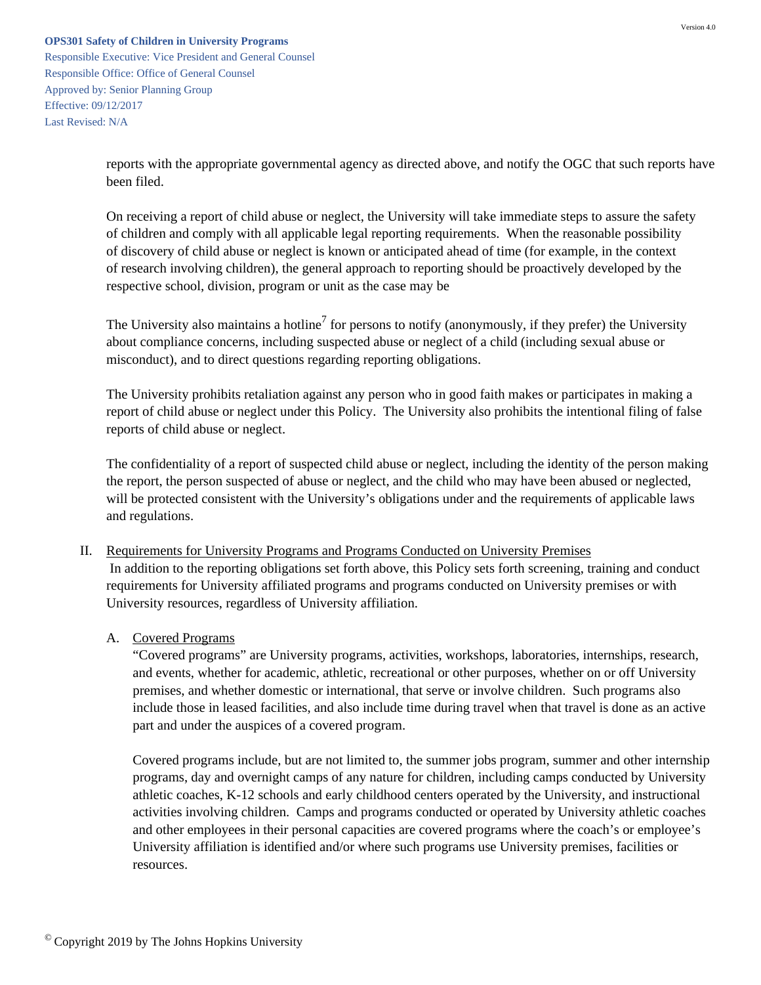Responsible Executive: Vice President and General Counsel Responsible Office: Office of General Counsel Approved by: Senior Planning Group Effective: 09/12/2017 Last Revised: N/A

> reports with the appropriate governmental agency as directed above, and notify the OGC that such reports have been filed.

On receiving a report of child abuse or neglect, the University will take immediate steps to assure the safety of children and comply with all applicable legal reporting requirements. When the reasonable possibility of discovery of child abuse or neglect is known or anticipated ahead of time (for example, in the context of research involving children), the general approach to reporting should be proactively developed by the respective school, division, program or unit as the case may be

The University also maintains a hotline<sup>7</sup> for persons to notify (anonymously, if they prefer) the University about compliance concerns, including suspected abuse or neglect of a child (including sexual abuse or misconduct), and to direct questions regarding reporting obligations.

The University prohibits retaliation against any person who in good faith makes or participates in making a report of child abuse or neglect under this Policy. The University also prohibits the intentional filing of false reports of child abuse or neglect.

The confidentiality of a report of suspected child abuse or neglect, including the identity of the person making the report, the person suspected of abuse or neglect, and the child who may have been abused or neglected, will be protected consistent with the University's obligations under and the requirements of applicable laws and regulations.

- II. Requirements for University Programs and Programs Conducted on University Premises In addition to the reporting obligations set forth above, this Policy sets forth screening, training and conduct requirements for University affiliated programs and programs conducted on University premises or with University resources, regardless of University affiliation.
	- A. Covered Programs

"Covered programs" are University programs, activities, workshops, laboratories, internships, research, and events, whether for academic, athletic, recreational or other purposes, whether on or off University premises, and whether domestic or international, that serve or involve children. Such programs also include those in leased facilities, and also include time during travel when that travel is done as an active part and under the auspices of a covered program.

Covered programs include, but are not limited to, the summer jobs program, summer and other internship programs, day and overnight camps of any nature for children, including camps conducted by University athletic coaches, K-12 schools and early childhood centers operated by the University, and instructional activities involving children. Camps and programs conducted or operated by University athletic coaches and other employees in their personal capacities are covered programs where the coach's or employee's University affiliation is identified and/or where such programs use University premises, facilities or resources.

 $\mathcal O$  Copyright 2019 by The Johns Hopkins University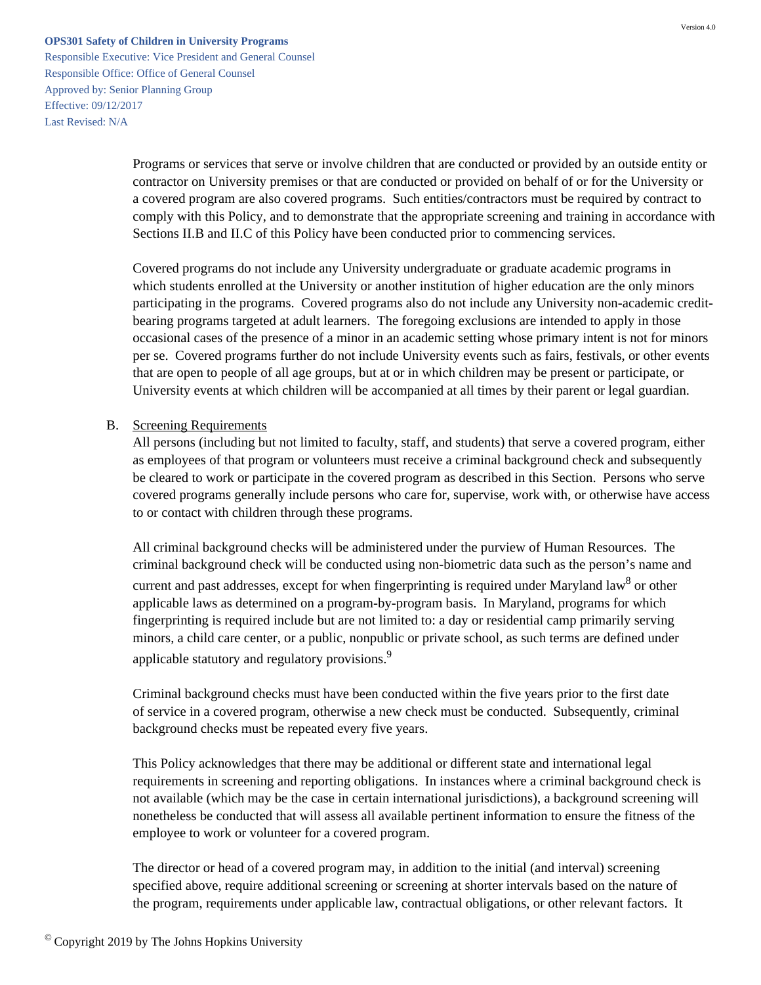Responsible Executive: Vice President and General Counsel Responsible Office: Office of General Counsel Approved by: Senior Planning Group Effective: 09/12/2017 Last Revised: N/A

> Programs or services that serve or involve children that are conducted or provided by an outside entity or contractor on University premises or that are conducted or provided on behalf of or for the University or a covered program are also covered programs. Such entities/contractors must be required by contract to comply with this Policy, and to demonstrate that the appropriate screening and training in accordance with Sections II.B and II.C of this Policy have been conducted prior to commencing services.

> Covered programs do not include any University undergraduate or graduate academic programs in which students enrolled at the University or another institution of higher education are the only minors participating in the programs. Covered programs also do not include any University non-academic creditbearing programs targeted at adult learners. The foregoing exclusions are intended to apply in those occasional cases of the presence of a minor in an academic setting whose primary intent is not for minors per se. Covered programs further do not include University events such as fairs, festivals, or other events that are open to people of all age groups, but at or in which children may be present or participate, or University events at which children will be accompanied at all times by their parent or legal guardian.

#### B. Screening Requirements

All persons (including but not limited to faculty, staff, and students) that serve a covered program, either as employees of that program or volunteers must receive a criminal background check and subsequently be cleared to work or participate in the covered program as described in this Section. Persons who serve covered programs generally include persons who care for, supervise, work with, or otherwise have access to or contact with children through these programs.

All criminal background checks will be administered under the purview of Human Resources. The criminal background check will be conducted using non-biometric data such as the person's name and current and past addresses, except for when fingerprinting is required under Maryland law<sup>8</sup> or other applicable laws as determined on a program-by-program basis. In Maryland, programs for which fingerprinting is required include but are not limited to: a day or residential camp primarily serving minors, a child care center, or a public, nonpublic or private school, as such terms are defined under applicable statutory and regulatory provisions.<sup>9</sup>

Criminal background checks must have been conducted within the five years prior to the first date of service in a covered program, otherwise a new check must be conducted. Subsequently, criminal background checks must be repeated every five years.

This Policy acknowledges that there may be additional or different state and international legal requirements in screening and reporting obligations. In instances where a criminal background check is not available (which may be the case in certain international jurisdictions), a background screening will nonetheless be conducted that will assess all available pertinent information to ensure the fitness of the employee to work or volunteer for a covered program.

The director or head of a covered program may, in addition to the initial (and interval) screening specified above, require additional screening or screening at shorter intervals based on the nature of the program, requirements under applicable law, contractual obligations, or other relevant factors. It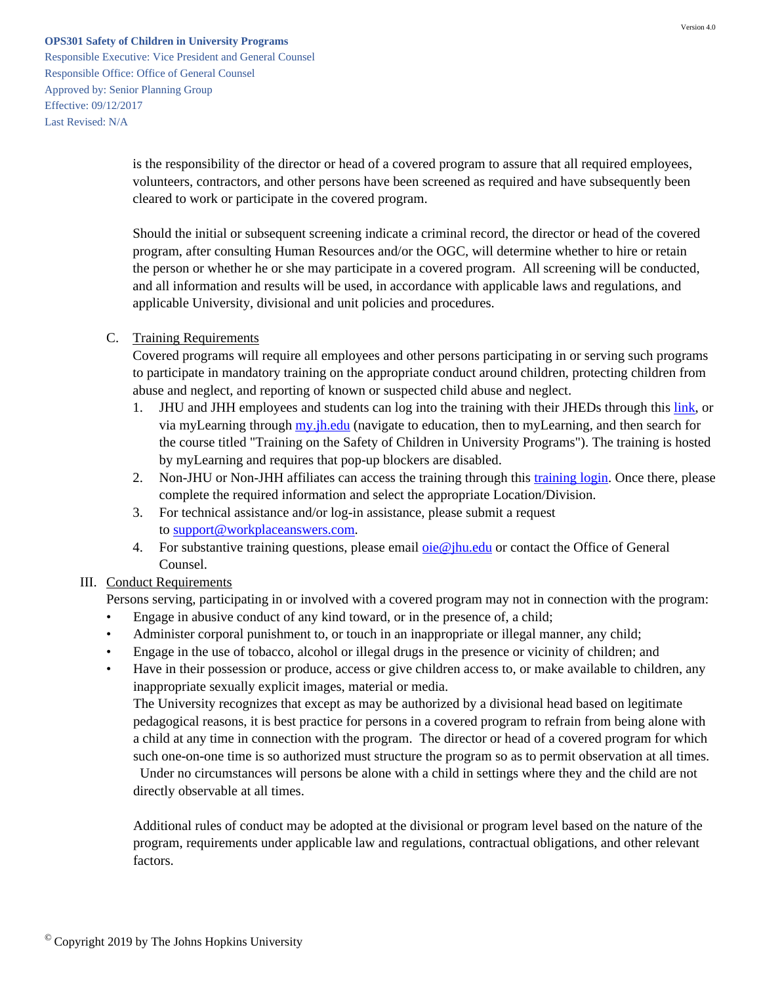Responsible Executive: Vice President and General Counsel Responsible Office: Office of General Counsel Approved by: Senior Planning Group Effective: 09/12/2017 Last Revised: N/A

> is the responsibility of the director or head of a covered program to assure that all required employees, volunteers, contractors, and other persons have been screened as required and have subsequently been cleared to work or participate in the covered program.

Should the initial or subsequent screening indicate a criminal record, the director or head of the covered program, after consulting Human Resources and/or the OGC, will determine whether to hire or retain the person or whether he or she may participate in a covered program. All screening will be conducted, and all information and results will be used, in accordance with applicable laws and regulations, and applicable University, divisional and unit policies and procedures.

#### C. Training Requirements

Covered programs will require all employees and other persons participating in or serving such programs to participate in mandatory training on the appropriate conduct around children, protecting children from abuse and neglect, and reporting of known or suspected child abuse and neglect.

- 1. JHU and JHH employees and students can log into the training with their JHEDs through this [link,](https://lms14.learnshare.com/catalog/display.resource.aspx?resourceid=572657) or via myLearning through [my.jh.edu](http://my.jh.edu/) (navigate to education, then to myLearning, and then search for the course titled "Training on the Safety of Children in University Programs"). The training is hosted by myLearning and requires that pop-up blockers are disabled.
- 2. Non-JHU or Non-JHH affiliates can access the training through this [training login.](https://slate.workplaceanswers.com/jhu/) Once there, please complete the required information and select the appropriate Location/Division.
- 3. For technical assistance and/or log-in assistance, please submit a request to [support@workplaceanswers.com.](mailto:support@workplaceanswers.com)
- 4. For substantive training questions, please email  $oie@$  jhu.edu or contact the Office of General Counsel.

### III. Conduct Requirements

Persons serving, participating in or involved with a covered program may not in connection with the program:

- Engage in abusive conduct of any kind toward, or in the presence of, a child;
- Administer corporal punishment to, or touch in an inappropriate or illegal manner, any child;
- Engage in the use of tobacco, alcohol or illegal drugs in the presence or vicinity of children; and
- Have in their possession or produce, access or give children access to, or make available to children, any inappropriate sexually explicit images, material or media.

The University recognizes that except as may be authorized by a divisional head based on legitimate pedagogical reasons, it is best practice for persons in a covered program to refrain from being alone with a child at any time in connection with the program. The director or head of a covered program for which such one-on-one time is so authorized must structure the program so as to permit observation at all times.

 Under no circumstances will persons be alone with a child in settings where they and the child are not directly observable at all times.

Additional rules of conduct may be adopted at the divisional or program level based on the nature of the program, requirements under applicable law and regulations, contractual obligations, and other relevant factors.

<sup>©</sup> Copyright 2019 by The Johns Hopkins University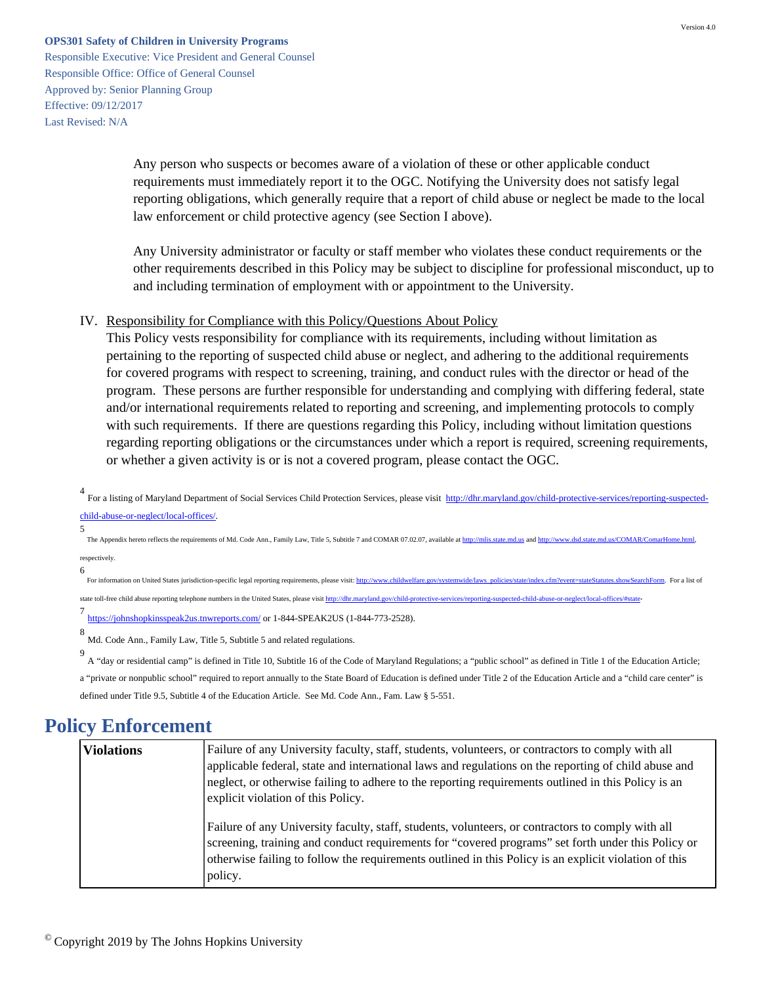Responsible Executive: Vice President and General Counsel Responsible Office: Office of General Counsel Approved by: Senior Planning Group Effective: 09/12/2017 Last Revised: N/A

> Any person who suspects or becomes aware of a violation of these or other applicable conduct requirements must immediately report it to the OGC. Notifying the University does not satisfy legal reporting obligations, which generally require that a report of child abuse or neglect be made to the local law enforcement or child protective agency (see Section I above).

Any University administrator or faculty or staff member who violates these conduct requirements or the other requirements described in this Policy may be subject to discipline for professional misconduct, up to and including termination of employment with or appointment to the University.

#### IV. Responsibility for Compliance with this Policy/Questions About Policy

This Policy vests responsibility for compliance with its requirements, including without limitation as pertaining to the reporting of suspected child abuse or neglect, and adhering to the additional requirements for covered programs with respect to screening, training, and conduct rules with the director or head of the program. These persons are further responsible for understanding and complying with differing federal, state and/or international requirements related to reporting and screening, and implementing protocols to comply with such requirements. If there are questions regarding this Policy, including without limitation questions regarding reporting obligations or the circumstances under which a report is required, screening requirements, or whether a given activity is or is not a covered program, please contact the OGC.

4 For a listing of Maryland Department of Social Services Child Protection Services, please visit [http://dhr.maryland.gov/child-protective-services/reporting-suspected](http://dhr.maryland.gov/child-protective-services/reporting-suspected-child-abuse-or-neglect/local-offices/)[child-abuse-or-neglect/local-offices/](http://dhr.maryland.gov/child-protective-services/reporting-suspected-child-abuse-or-neglect/local-offices/).

The Appendix hereto reflects the requirements of Md. Code Ann., Family Law, Title 5, Subtitle 7 and COMAR 07.02.07, available at [http://mlis.state.md.us](http://mlis.state.md.us/) and <http://www.dsd.state.md.us/COMAR/ComarHome.html>, respectively.

6

5

For information on United States jurisdiction-specific legal reporting requirements, please visit: [http://www.childwelfare.gov/systemwide/laws\\_policies/state/index.cfm?event=stateStatutes.showSearchForm.](http://www.childwelfare.gov/systemwide/laws_policies/state/index.cfm?event=stateStatutes.showSearchForm) For a list of state toll-free child abuse reporting telephone numbers in the United States, please visit<http://dhr.maryland.gov/child-protective-services/reporting-suspected-child-abuse-or-neglect/local-offices/#state>

7 <https://johnshopkinsspeak2us.tnwreports.com/>or 1-844-SPEAK2US (1-844-773-2528).

8 Md. Code Ann., Family Law, Title 5, Subtitle 5 and related regulations.

9 A "day or residential camp" is defined in Title 10, Subtitle 16 of the Code of Maryland Regulations; a "public school" as defined in Title 1 of the Education Article; a "private or nonpublic school" required to report annually to the State Board of Education is defined under Title 2 of the Education Article and a "child care center" is defined under Title 9.5, Subtitle 4 of the Education Article. See Md. Code Ann., Fam. Law § 5-551.

## <span id="page-5-0"></span>**Policy Enforcement**

| <b>Violations</b> | Failure of any University faculty, staff, students, volunteers, or contractors to comply with all<br>applicable federal, state and international laws and regulations on the reporting of child abuse and<br>neglect, or otherwise failing to adhere to the reporting requirements outlined in this Policy is an<br>explicit violation of this Policy. |
|-------------------|--------------------------------------------------------------------------------------------------------------------------------------------------------------------------------------------------------------------------------------------------------------------------------------------------------------------------------------------------------|
|                   | Failure of any University faculty, staff, students, volunteers, or contractors to comply with all<br>screening, training and conduct requirements for "covered programs" set forth under this Policy or<br>otherwise failing to follow the requirements outlined in this Policy is an explicit violation of this<br>policy.                            |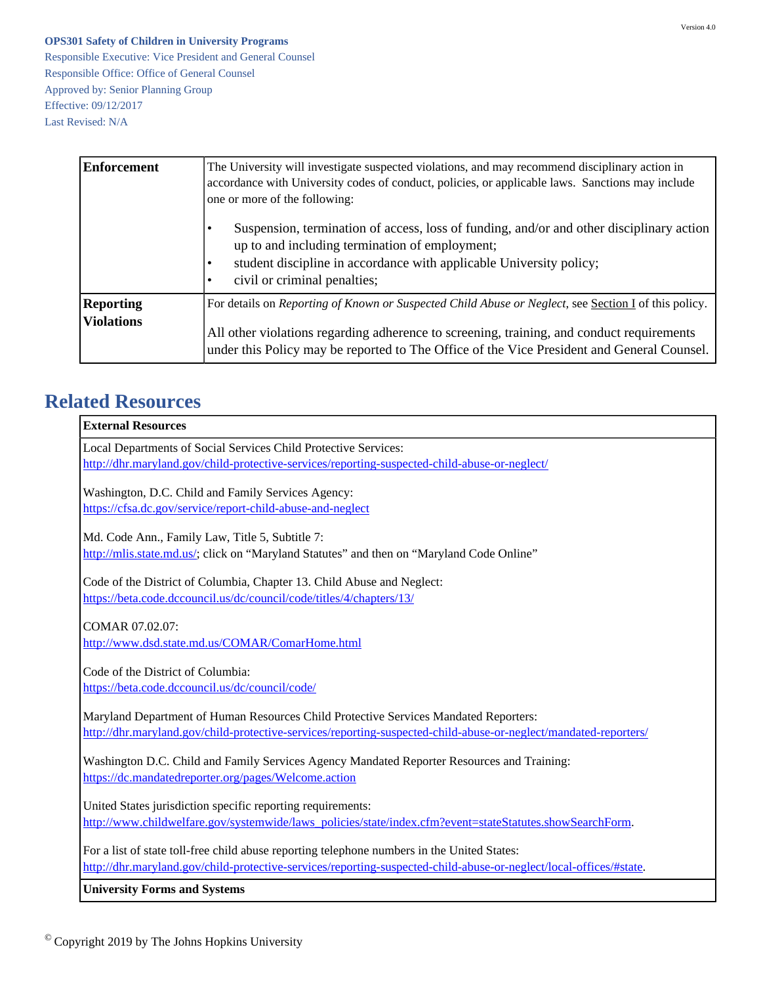Responsible Executive: Vice President and General Counsel Responsible Office: Office of General Counsel Approved by: Senior Planning Group Effective: 09/12/2017 Last Revised: N/A

| <b>Enforcement</b>                    | The University will investigate suspected violations, and may recommend disciplinary action in<br>accordance with University codes of conduct, policies, or applicable laws. Sanctions may include<br>one or more of the following:                                                                            |  |  |
|---------------------------------------|----------------------------------------------------------------------------------------------------------------------------------------------------------------------------------------------------------------------------------------------------------------------------------------------------------------|--|--|
|                                       | Suspension, termination of access, loss of funding, and/or and other disciplinary action<br>up to and including termination of employment;<br>student discipline in accordance with applicable University policy;<br>civil or criminal penalties;                                                              |  |  |
| <b>Reporting</b><br><b>Violations</b> | For details on <i>Reporting of Known or Suspected Child Abuse or Neglect</i> , see <i>Section I</i> of this policy.<br>All other violations regarding adherence to screening, training, and conduct requirements<br>under this Policy may be reported to The Office of the Vice President and General Counsel. |  |  |

# <span id="page-6-0"></span>**Related Resources**

| <b>External Resources</b>                                                                                          |
|--------------------------------------------------------------------------------------------------------------------|
| Local Departments of Social Services Child Protective Services:                                                    |
| http://dhr.maryland.gov/child-protective-services/reporting-suspected-child-abuse-or-neglect/                      |
| Washington, D.C. Child and Family Services Agency:                                                                 |
| https://cfsa.dc.gov/service/report-child-abuse-and-neglect                                                         |
|                                                                                                                    |
| Md. Code Ann., Family Law, Title 5, Subtitle 7:                                                                    |
| http://mlis.state.md.us/; click on "Maryland Statutes" and then on "Maryland Code Online"                          |
| Code of the District of Columbia, Chapter 13. Child Abuse and Neglect:                                             |
| https://beta.code.dccouncil.us/dc/council/code/titles/4/chapters/13/                                               |
|                                                                                                                    |
| COMAR 07.02.07:                                                                                                    |
| http://www.dsd.state.md.us/COMAR/ComarHome.html                                                                    |
| Code of the District of Columbia:                                                                                  |
| https://beta.code.dccouncil.us/dc/council/code/                                                                    |
|                                                                                                                    |
| Maryland Department of Human Resources Child Protective Services Mandated Reporters:                               |
| http://dhr.maryland.gov/child-protective-services/reporting-suspected-child-abuse-or-neglect/mandated-reporters/   |
| Washington D.C. Child and Family Services Agency Mandated Reporter Resources and Training:                         |
| https://dc.mandatedreporter.org/pages/Welcome.action                                                               |
|                                                                                                                    |
| United States jurisdiction specific reporting requirements:                                                        |
| http://www.childwelfare.gov/systemwide/laws_policies/state/index.cfm?event=stateStatutes.showSearchForm.           |
| For a list of state toll-free child abuse reporting telephone numbers in the United States:                        |
| http://dhr.maryland.gov/child-protective-services/reporting-suspected-child-abuse-or-neglect/local-offices/#state. |
| <b>University Forms and Systems</b>                                                                                |

 $^\copyright$  Copyright 2019 by The Johns Hopkins University